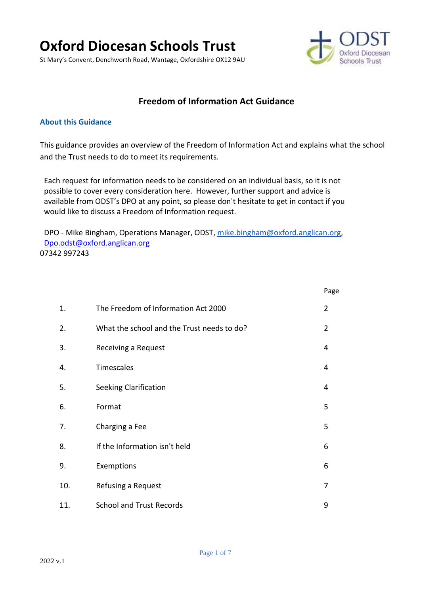# **Oxford Diocesan Schools Trust**

St Mary's Convent, Denchworth Road, Wantage, Oxfordshire OX12 9AU



## **Freedom of Information Act Guidance**

#### **About this Guidance**

This guidance provides an overview of the Freedom of Information Act and explains what the school and the Trust needs to do to meet its requirements.

Each request for information needs to be considered on an individual basis, so it is not possible to cover every consideration here. However, further support and advice is available from ODST's DPO at any point, so please don't hesitate to get in contact if you would like to discuss a Freedom of Information request.

DPO - Mike Bingham, Operations Manager, ODST, [mike.bingham@oxford.anglican.org,](mailto:mike.bingham@oxford.anglican.org) [Dpo.odst@oxford.anglican.org](mailto:Dpo.odst@oxford.anglican.org) 07342 997243

|     |                                            | Page           |
|-----|--------------------------------------------|----------------|
| 1.  | The Freedom of Information Act 2000        | $\overline{2}$ |
| 2.  | What the school and the Trust needs to do? | 2              |
| 3.  | Receiving a Request                        | 4              |
| 4.  | Timescales                                 | 4              |
| 5.  | Seeking Clarification                      | 4              |
| 6.  | Format                                     | 5              |
| 7.  | Charging a Fee                             | 5              |
| 8.  | If the Information isn't held              | 6              |
| 9.  | Exemptions                                 | 6              |
| 10. | Refusing a Request                         | 7              |
| 11. | <b>School and Trust Records</b>            | 9              |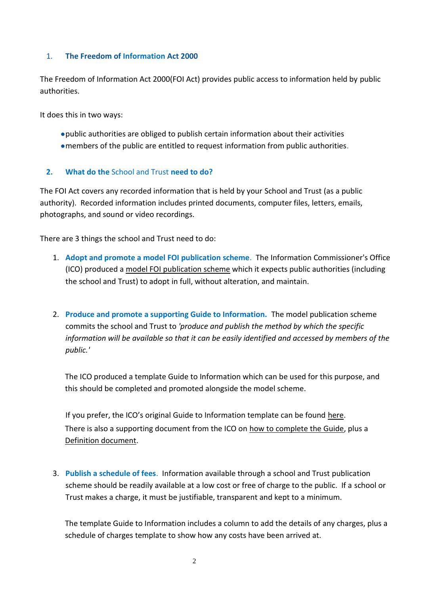#### 1. **The Freedom of Information Act 2000**

The Freedom of Information Act 2000(FOI Act) provides public access to information held by public authorities.

It does this in two ways:

- ●public authorities are obliged to publish certain information about their activities
- ●members of the public are entitled to request information from public authorities.

#### **2. What do the** School and Trust **need to do?**

The FOI Act covers any recorded information that is held by your School and Trust (as a public authority). Recorded information includes printed documents, computer files, letters, emails, photographs, and sound or video recordings.

There are 3 things the school and Trust need to do:

- 1. **Adopt and promote a model FOI publication scheme**. The Information Commissioner's Office (ICO) produced a model FOI [publication scheme](https://ico.org.uk/media/for-organisations/documents/1153/model-publication-scheme.pdf) which it expects public authorities (including the school and Trust) to adopt in full, without alteration, and maintain.
- 2. **Produce and promote a supporting Guide to Information.** The model publication scheme commits the school and Trust to *'produce and publish the method by which the specific information will be available so that it can be easily identified and accessed by members of the public.'*

The ICO produced a template Guide to Information which can be used for this purpose, and this should be completed and promoted alongside the model scheme.

If you prefer, the ICO's original Guide to Information template can be found [here.](https://ico.org.uk/media/for-organisations/documents/1278/schools_england_mps_final.doc) There is also a supporting document from the ICO on [how to complete the Guide,](https://ico.org.uk/media/for-organisations/documents/1242/how-to-complete-template-guide-to-info-for-schools.pdf) plus a [Definition document.](https://ico.org.uk/media/for-organisations/documents/1235/definition-document-schools-in-england.pdf)

3. **Publish a schedule of fees**. Information available through a school and Trust publication scheme should be readily available at a low cost or free of charge to the public. If a school or Trust makes a charge, it must be justifiable, transparent and kept to a minimum.

The template Guide to Information includes a column to add the details of any charges, plus a schedule of charges template to show how any costs have been arrived at.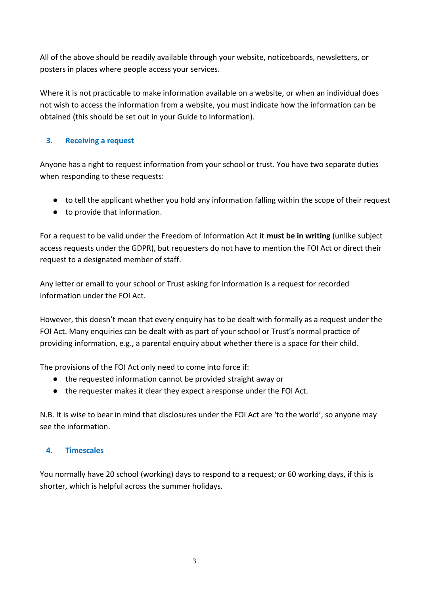All of the above should be readily available through your website, noticeboards, newsletters, or posters in places where people access your services.

Where it is not practicable to make information available on a website, or when an individual does not wish to access the information from a website, you must indicate how the information can be obtained (this should be set out in your Guide to Information).

## **3. Receiving a request**

Anyone has a right to request information from your school or trust. You have two separate duties when responding to these requests:

- to tell the applicant whether you hold any information falling within the scope of their request
- to provide that information.

For a request to be valid under the Freedom of Information Act it **must be in writing** (unlike subject access requests under the GDPR), but requesters do not have to mention the FOI Act or direct their request to a designated member of staff.

Any letter or email to your school or Trust asking for information is a request for recorded information under the FOI Act.

However, this doesn't mean that every enquiry has to be dealt with formally as a request under the FOI Act. Many enquiries can be dealt with as part of your school or Trust's normal practice of providing information, e.g., a parental enquiry about whether there is a space for their child.

The provisions of the FOI Act only need to come into force if:

- the requested information cannot be provided straight away or
- the requester makes it clear they expect a response under the FOI Act.

N.B. It is wise to bear in mind that disclosures under the FOI Act are 'to the world', so anyone may see the information.

#### **4. Timescales**

You normally have 20 school (working) days to respond to a request; or 60 working days, if this is shorter, which is helpful across the summer holidays.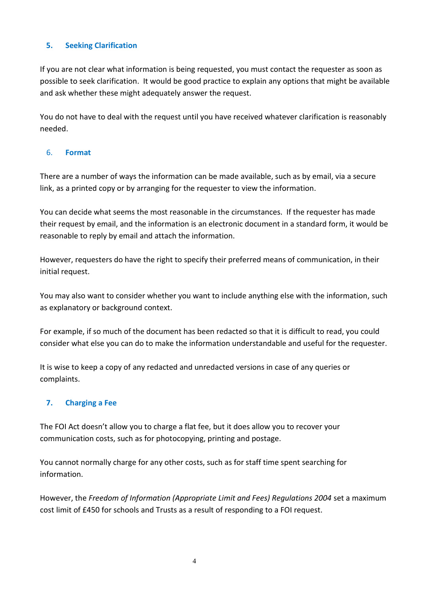#### **5. Seeking Clarification**

If you are not clear what information is being requested, you must contact the requester as soon as possible to seek clarification. It would be good practice to explain any options that might be available and ask whether these might adequately answer the request.

You do not have to deal with the request until you have received whatever clarification is reasonably needed.

#### 6. **Format**

There are a number of ways the information can be made available, such as by email, via a secure link, as a printed copy or by arranging for the requester to view the information.

You can decide what seems the most reasonable in the circumstances. If the requester has made their request by email, and the information is an electronic document in a standard form, it would be reasonable to reply by email and attach the information.

However, requesters do have the right to specify their preferred means of communication, in their initial request.

You may also want to consider whether you want to include anything else with the information, such as explanatory or background context.

For example, if so much of the document has been redacted so that it is difficult to read, you could consider what else you can do to make the information understandable and useful for the requester.

It is wise to keep a copy of any redacted and unredacted versions in case of any queries or complaints.

## **7. Charging a Fee**

The FOI Act doesn't allow you to charge a flat fee, but it does allow you to recover your communication costs, such as for photocopying, printing and postage.

You cannot normally charge for any other costs, such as for staff time spent searching for information.

However, the *Freedom of Information (Appropriate Limit and Fees) Regulations 2004* set a maximum cost limit of £450 for schools and Trusts as a result of responding to a FOI request.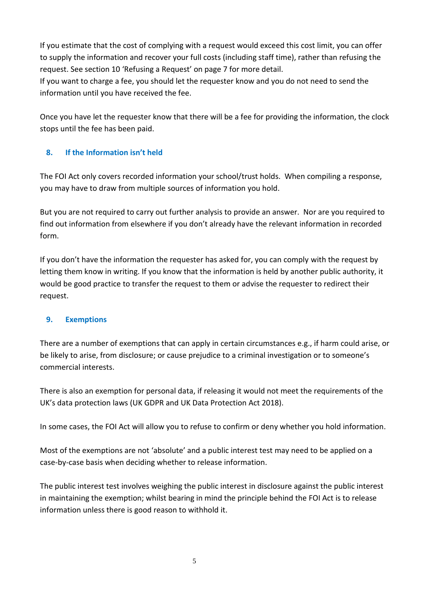If you estimate that the cost of complying with a request would exceed this cost limit, you can offer to supply the information and recover your full costs (including staff time), rather than refusing the request. See section 10 'Refusing a Request' on page 7 for more detail.

If you want to charge a fee, you should let the requester know and you do not need to send the information until you have received the fee.

Once you have let the requester know that there will be a fee for providing the information, the clock stops until the fee has been paid.

## **8. If the Information isn't held**

The FOI Act only covers recorded information your school/trust holds. When compiling a response, you may have to draw from multiple sources of information you hold.

But you are not required to carry out further analysis to provide an answer. Nor are you required to find out information from elsewhere if you don't already have the relevant information in recorded form.

If you don't have the information the requester has asked for, you can comply with the request by letting them know in writing. If you know that the information is held by another public authority, it would be good practice to transfer the request to them or advise the requester to redirect their request.

## **9. Exemptions**

There are a number of exemptions that can apply in certain circumstances e.g., if harm could arise, or be likely to arise, from disclosure; or cause prejudice to a criminal investigation or to someone's commercial interests.

There is also an exemption for personal data, if releasing it would not meet the requirements of the UK's data protection laws (UK GDPR and UK Data Protection Act 2018).

In some cases, the FOI Act will allow you to refuse to confirm or deny whether you hold information.

Most of the exemptions are not 'absolute' and a public interest test may need to be applied on a case-by-case basis when deciding whether to release information.

The public interest test involves weighing the public interest in disclosure against the public interest in maintaining the exemption; whilst bearing in mind the principle behind the FOI Act is to release information unless there is good reason to withhold it.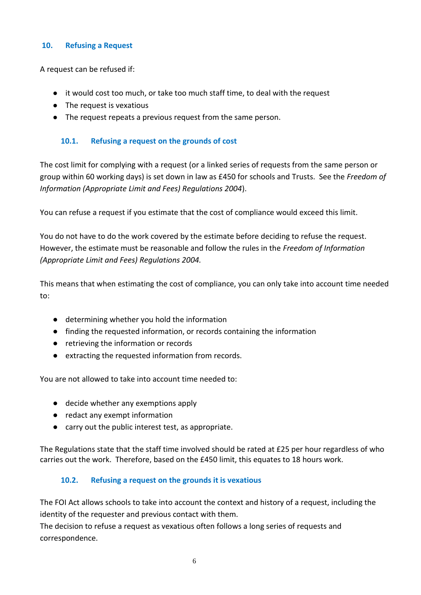#### **10. Refusing a Request**

A request can be refused if:

- it would cost too much, or take too much staff time, to deal with the request
- The request is vexatious
- The request repeats a previous request from the same person.

#### **10.1. Refusing a request on the grounds of cost**

The cost limit for complying with a request (or a linked series of requests from the same person or group within 60 working days) is set down in law as £450 for schools and Trusts. See the *Freedom of Information (Appropriate Limit and Fees) Regulations 2004*).

You can refuse a request if you estimate that the cost of compliance would exceed this limit.

You do not have to do the work covered by the estimate before deciding to refuse the request. However, the estimate must be reasonable and follow the rules in the *Freedom of Information (Appropriate Limit and Fees) Regulations 2004.*

This means that when estimating the cost of compliance, you can only take into account time needed to:

- determining whether you hold the information
- finding the requested information, or records containing the information
- retrieving the information or records
- extracting the requested information from records.

You are not allowed to take into account time needed to:

- decide whether any exemptions apply
- redact any exempt information
- carry out the public interest test, as appropriate.

The Regulations state that the staff time involved should be rated at £25 per hour regardless of who carries out the work. Therefore, based on the £450 limit, this equates to 18 hours work.

## **10.2. Refusing a request on the grounds it is vexatious**

The FOI Act allows schools to take into account the context and history of a request, including the identity of the requester and previous contact with them.

The decision to refuse a request as vexatious often follows a long series of requests and correspondence.